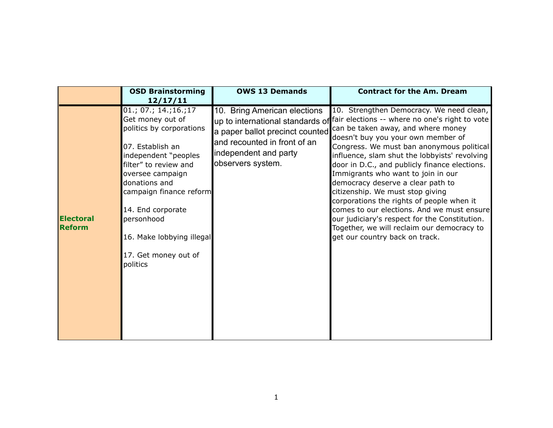|                            | <b>OSD Brainstorming</b><br>12/17/11                                                                                                                                                                                                                                                                                                      | <b>OWS 13 Demands</b>                                                                                                                         | <b>Contract for the Am. Dream</b>                                                                                                                                                                                                                                                                                                                                                                                                                                                                                                                                                                                                                                                                            |
|----------------------------|-------------------------------------------------------------------------------------------------------------------------------------------------------------------------------------------------------------------------------------------------------------------------------------------------------------------------------------------|-----------------------------------------------------------------------------------------------------------------------------------------------|--------------------------------------------------------------------------------------------------------------------------------------------------------------------------------------------------------------------------------------------------------------------------------------------------------------------------------------------------------------------------------------------------------------------------------------------------------------------------------------------------------------------------------------------------------------------------------------------------------------------------------------------------------------------------------------------------------------|
| <b>Electoral</b><br>Reform | $\overline{01.7}$ $\overline{07.7}$ $14.716.717$<br>Get money out of<br>politics by corporations<br>07. Establish an<br>independent "peoples<br>filter" to review and<br>oversee campaign<br>donations and<br>campaign finance reform<br>14. End corporate<br>personhood<br>16. Make lobbying illegal<br>17. Get money out of<br>politics | 10. Bring American elections<br>a paper ballot precinct counted<br>and recounted in front of an<br>independent and party<br>observers system. | 10. Strengthen Democracy. We need clean,<br>up to international standards of <sup>fair</sup> elections -- where no one's right to vote<br>can be taken away, and where money<br>doesn't buy you your own member of<br>Congress. We must ban anonymous political<br>influence, slam shut the lobbyists' revolving<br>door in D.C., and publicly finance elections.<br>Immigrants who want to join in our<br>democracy deserve a clear path to<br>citizenship. We must stop giving<br>corporations the rights of people when it<br>comes to our elections. And we must ensure<br>our judiciary's respect for the Constitution.<br>Together, we will reclaim our democracy to<br>get our country back on track. |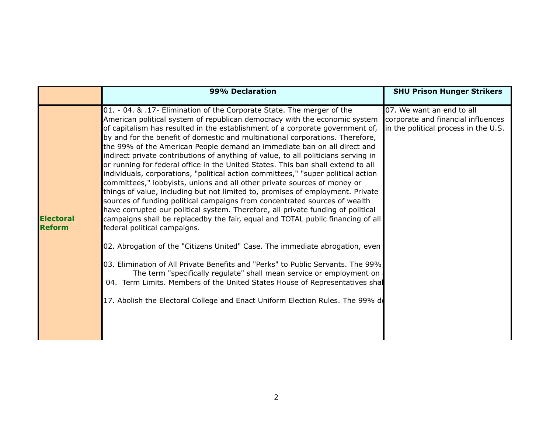|                  | 99% Declaration                                                                                                                                                                                                                                                                                                                                                                                                                                                                                                                                                                                                                                                                                                                                                                                                                                                                                                                                                                                                                                                                                                                                                                                                                                                                                                                                                                                                                                                                                                                                                                                         | <b>SHU Prison Hunger Strikers</b> |
|------------------|---------------------------------------------------------------------------------------------------------------------------------------------------------------------------------------------------------------------------------------------------------------------------------------------------------------------------------------------------------------------------------------------------------------------------------------------------------------------------------------------------------------------------------------------------------------------------------------------------------------------------------------------------------------------------------------------------------------------------------------------------------------------------------------------------------------------------------------------------------------------------------------------------------------------------------------------------------------------------------------------------------------------------------------------------------------------------------------------------------------------------------------------------------------------------------------------------------------------------------------------------------------------------------------------------------------------------------------------------------------------------------------------------------------------------------------------------------------------------------------------------------------------------------------------------------------------------------------------------------|-----------------------------------|
| <b>Electoral</b> | 01. - 04. & .17- Elimination of the Corporate State. The merger of the<br>American political system of republican democracy with the economic system corporate and financial influences<br>of capitalism has resulted in the establishment of a corporate government of, in the political process in the U.S.<br>by and for the benefit of domestic and multinational corporations. Therefore,<br>the 99% of the American People demand an immediate ban on all direct and<br>indirect private contributions of anything of value, to all politicians serving in<br>or running for federal office in the United States. This ban shall extend to all<br>individuals, corporations, "political action committees," "super political action<br>committees," lobbyists, unions and all other private sources of money or<br>things of value, including but not limited to, promises of employment. Private<br>sources of funding political campaigns from concentrated sources of wealth<br>have corrupted our political system. Therefore, all private funding of political<br>campaigns shall be replacedby the fair, equal and TOTAL public financing of all<br>federal political campaigns.<br>02. Abrogation of the "Citizens United" Case. The immediate abrogation, even<br>03. Elimination of All Private Benefits and "Perks" to Public Servants. The 99%<br>The term "specifically regulate" shall mean service or employment on<br>04. Term Limits. Members of the United States House of Representatives shal<br>17. Abolish the Electoral College and Enact Uniform Election Rules. The 99% d | 07. We want an end to all         |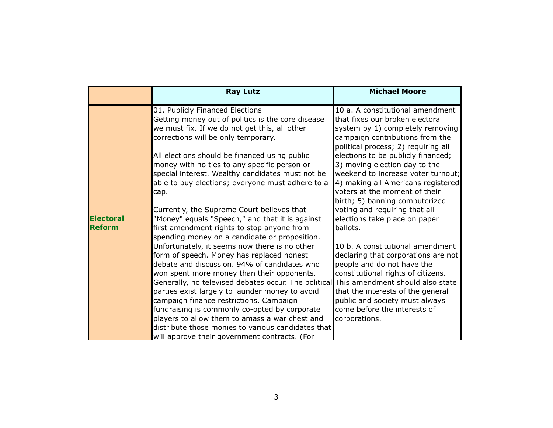|                                   | <b>Ray Lutz</b>                                                                                                                                                                                                                                                                                                                                                                                                                                                                                                                                                                                                                                                                                                                                                                                                                                                                                                                                                                                                                                                                                                                                                                            | <b>Michael Moore</b>                                                                                                                                                                                                                                                                                                                                                                                                                                                                                                                                                                                                                                                                                                                                         |
|-----------------------------------|--------------------------------------------------------------------------------------------------------------------------------------------------------------------------------------------------------------------------------------------------------------------------------------------------------------------------------------------------------------------------------------------------------------------------------------------------------------------------------------------------------------------------------------------------------------------------------------------------------------------------------------------------------------------------------------------------------------------------------------------------------------------------------------------------------------------------------------------------------------------------------------------------------------------------------------------------------------------------------------------------------------------------------------------------------------------------------------------------------------------------------------------------------------------------------------------|--------------------------------------------------------------------------------------------------------------------------------------------------------------------------------------------------------------------------------------------------------------------------------------------------------------------------------------------------------------------------------------------------------------------------------------------------------------------------------------------------------------------------------------------------------------------------------------------------------------------------------------------------------------------------------------------------------------------------------------------------------------|
| <b>Electoral</b><br><b>Reform</b> | 01. Publicly Financed Elections<br>Getting money out of politics is the core disease<br>we must fix. If we do not get this, all other<br>corrections will be only temporary.<br>All elections should be financed using public<br>money with no ties to any specific person or<br>special interest. Wealthy candidates must not be<br>able to buy elections; everyone must adhere to a<br>cap.<br>Currently, the Supreme Court believes that<br>"Money" equals "Speech," and that it is against<br>first amendment rights to stop anyone from<br>spending money on a candidate or proposition.<br>Unfortunately, it seems now there is no other<br>form of speech. Money has replaced honest<br>debate and discussion. 94% of candidates who<br>won spent more money than their opponents.<br>Generally, no televised debates occur. The political This amendment should also state<br>parties exist largely to launder money to avoid<br>campaign finance restrictions. Campaign<br>fundraising is commonly co-opted by corporate<br>players to allow them to amass a war chest and<br>distribute those monies to various candidates that<br>will approve their government contracts. (For | 10 a. A constitutional amendment<br>that fixes our broken electoral<br>system by 1) completely removing<br>campaign contributions from the<br>political process; 2) requiring all<br>elections to be publicly financed;<br>3) moving election day to the<br>weekend to increase voter turnout;<br>4) making all Americans registered<br>voters at the moment of their<br>birth; 5) banning computerized<br>voting and requiring that all<br>elections take place on paper<br>ballots.<br>10 b. A constitutional amendment<br>declaring that corporations are not<br>people and do not have the<br>constitutional rights of citizens.<br>that the interests of the general<br>public and society must always<br>come before the interests of<br>corporations. |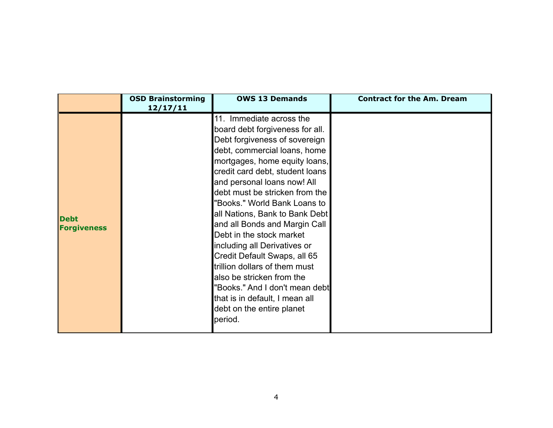|                                   | <b>OSD Brainstorming</b><br>12/17/11 | <b>OWS 13 Demands</b>                                                                                                                                                                                                                                                                                                                                                                                                                                                                                                                                                                                                                      | <b>Contract for the Am. Dream</b> |
|-----------------------------------|--------------------------------------|--------------------------------------------------------------------------------------------------------------------------------------------------------------------------------------------------------------------------------------------------------------------------------------------------------------------------------------------------------------------------------------------------------------------------------------------------------------------------------------------------------------------------------------------------------------------------------------------------------------------------------------------|-----------------------------------|
| <b>Debt</b><br><b>Forgiveness</b> |                                      | 11. Immediate across the<br>board debt forgiveness for all.<br>Debt forgiveness of sovereign<br>debt, commercial loans, home<br>mortgages, home equity loans,<br>credit card debt, student loans<br>and personal loans now! All<br>debt must be stricken from the<br>"Books." World Bank Loans to<br>all Nations, Bank to Bank Debt<br>and all Bonds and Margin Call<br>Debt in the stock market<br>including all Derivatives or<br>Credit Default Swaps, all 65<br>trillion dollars of them must<br>also be stricken from the<br>"Books." And I don't mean debt<br>that is in default, I mean all<br>debt on the entire planet<br>period. |                                   |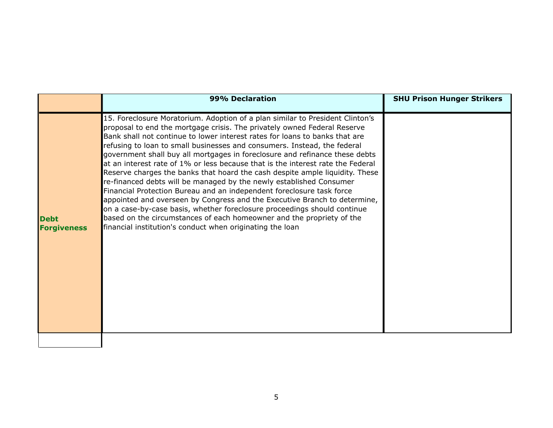|                                   | 99% Declaration                                                                                                                                                                                                                                                                                                                                                                                                                                                                                                                                                                                                                                                                                                                                                                                                                                                                                                                                                                                                        | <b>SHU Prison Hunger Strikers</b> |
|-----------------------------------|------------------------------------------------------------------------------------------------------------------------------------------------------------------------------------------------------------------------------------------------------------------------------------------------------------------------------------------------------------------------------------------------------------------------------------------------------------------------------------------------------------------------------------------------------------------------------------------------------------------------------------------------------------------------------------------------------------------------------------------------------------------------------------------------------------------------------------------------------------------------------------------------------------------------------------------------------------------------------------------------------------------------|-----------------------------------|
| <b>Debt</b><br><b>Forgiveness</b> | 15. Foreclosure Moratorium. Adoption of a plan similar to President Clinton's<br>proposal to end the mortgage crisis. The privately owned Federal Reserve<br>Bank shall not continue to lower interest rates for loans to banks that are<br>refusing to loan to small businesses and consumers. Instead, the federal<br>government shall buy all mortgages in foreclosure and refinance these debts<br>lat an interest rate of 1% or less because that is the interest rate the Federal<br>Reserve charges the banks that hoard the cash despite ample liquidity. These<br>re-financed debts will be managed by the newly established Consumer<br>Financial Protection Bureau and an independent foreclosure task force<br>appointed and overseen by Congress and the Executive Branch to determine,<br>on a case-by-case basis, whether foreclosure proceedings should continue<br>based on the circumstances of each homeowner and the propriety of the<br>financial institution's conduct when originating the loan |                                   |
|                                   |                                                                                                                                                                                                                                                                                                                                                                                                                                                                                                                                                                                                                                                                                                                                                                                                                                                                                                                                                                                                                        |                                   |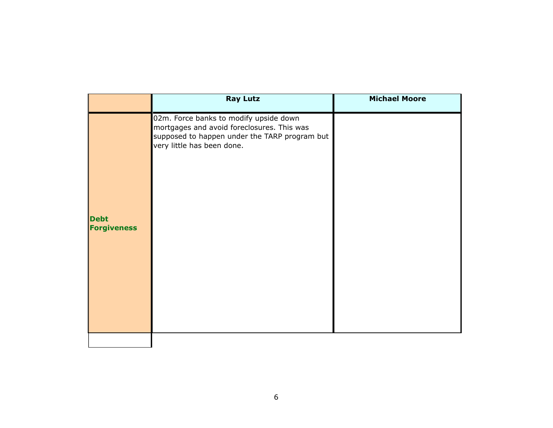|                                   | <b>Ray Lutz</b>                                                                                                                                                     | <b>Michael Moore</b> |
|-----------------------------------|---------------------------------------------------------------------------------------------------------------------------------------------------------------------|----------------------|
| <b>Debt</b><br><b>Forgiveness</b> | 02m. Force banks to modify upside down<br>mortgages and avoid foreclosures. This was<br>supposed to happen under the TARP program but<br>very little has been done. |                      |
|                                   |                                                                                                                                                                     |                      |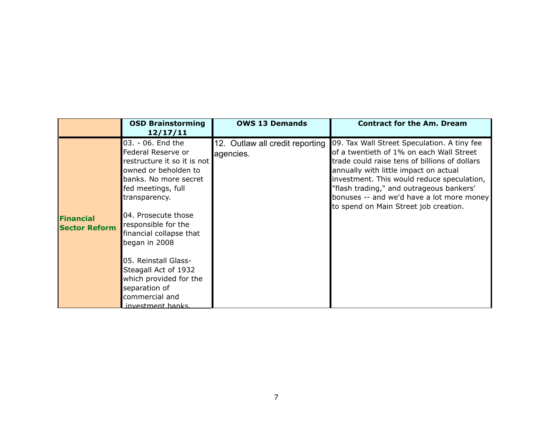|                                          | <b>OSD Brainstorming</b><br>12/17/11                                                                                                                                                                                                                                                                                                                                                              | <b>OWS 13 Demands</b>                        | <b>Contract for the Am. Dream</b>                                                                                                                                                                                                                                                                                                                                 |
|------------------------------------------|---------------------------------------------------------------------------------------------------------------------------------------------------------------------------------------------------------------------------------------------------------------------------------------------------------------------------------------------------------------------------------------------------|----------------------------------------------|-------------------------------------------------------------------------------------------------------------------------------------------------------------------------------------------------------------------------------------------------------------------------------------------------------------------------------------------------------------------|
| <b>Financial</b><br><b>Sector Reform</b> | 03. - 06. End the<br>Federal Reserve or<br>restructure it so it is not<br>owned or beholden to<br>banks. No more secret<br>fed meetings, full<br>transparency.<br>04. Prosecute those<br>responsible for the<br>financial collapse that<br>began in 2008<br>05. Reinstall Glass-<br>Steagall Act of 1932<br>which provided for the<br>separation of<br>commercial and<br><u>investment hanks.</u> | 12. Outlaw all credit reporting<br>agencies. | 09. Tax Wall Street Speculation. A tiny fee<br>of a twentieth of 1% on each Wall Street<br>trade could raise tens of billions of dollars<br>annually with little impact on actual<br>investment. This would reduce speculation,<br>"flash trading," and outrageous bankers'<br>bonuses -- and we'd have a lot more money<br>to spend on Main Street job creation. |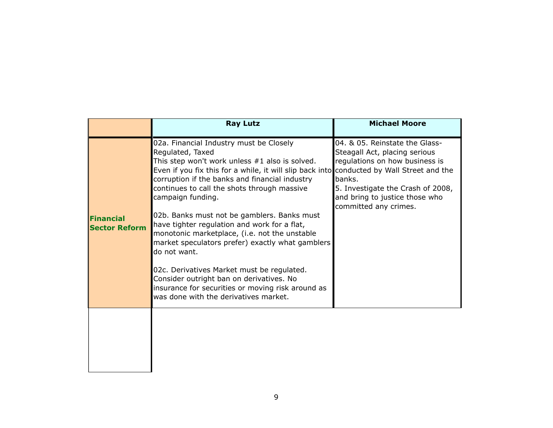|                                           | <b>Ray Lutz</b>                                                                                                                                                                                                                                                                                                                                                                                                                                                                                                                                                                                                                                                                                                                              | <b>Michael Moore</b>                                                                                                                                                                                        |
|-------------------------------------------|----------------------------------------------------------------------------------------------------------------------------------------------------------------------------------------------------------------------------------------------------------------------------------------------------------------------------------------------------------------------------------------------------------------------------------------------------------------------------------------------------------------------------------------------------------------------------------------------------------------------------------------------------------------------------------------------------------------------------------------------|-------------------------------------------------------------------------------------------------------------------------------------------------------------------------------------------------------------|
| <b>IFinancial</b><br><b>Sector Reform</b> | 02a. Financial Industry must be Closely<br>Regulated, Taxed<br>This step won't work unless #1 also is solved.<br>Even if you fix this for a while, it will slip back into conducted by Wall Street and the<br>corruption if the banks and financial industry<br>continues to call the shots through massive<br>campaign funding.<br>02b. Banks must not be gamblers. Banks must<br>have tighter regulation and work for a flat,<br>monotonic marketplace, (i.e. not the unstable<br>market speculators prefer) exactly what gamblers<br>do not want.<br>02c. Derivatives Market must be regulated.<br>Consider outright ban on derivatives. No<br>insurance for securities or moving risk around as<br>was done with the derivatives market. | 04. & 05. Reinstate the Glass-<br>Steagall Act, placing serious<br>regulations on how business is<br>banks.<br>5. Investigate the Crash of 2008,<br>and bring to justice those who<br>committed any crimes. |
|                                           |                                                                                                                                                                                                                                                                                                                                                                                                                                                                                                                                                                                                                                                                                                                                              |                                                                                                                                                                                                             |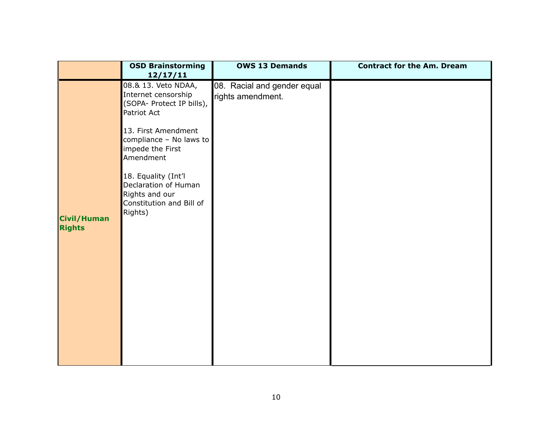|                                     | <b>OSD Brainstorming</b><br>12/17/11                                                                 | <b>OWS 13 Demands</b>                            | <b>Contract for the Am. Dream</b> |
|-------------------------------------|------------------------------------------------------------------------------------------------------|--------------------------------------------------|-----------------------------------|
|                                     | 08.& 13. Veto NDAA,<br>Internet censorship<br>(SOPA- Protect IP bills),<br>Patriot Act               | 08. Racial and gender equal<br>rights amendment. |                                   |
|                                     | 13. First Amendment<br>compliance - No laws to<br>impede the First<br>Amendment                      |                                                  |                                   |
| <b>Civil/Human</b><br><b>Rights</b> | 18. Equality (Int'l<br>Declaration of Human<br>Rights and our<br>Constitution and Bill of<br>Rights) |                                                  |                                   |
|                                     |                                                                                                      |                                                  |                                   |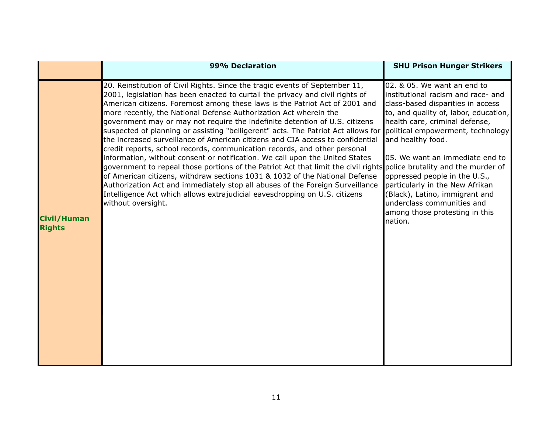|                                     | 99% Declaration                                                                                                                                                                                                                                                                                                                                                                                                                                                                                                                                                                                                                                                                                                                                                                                                                                                                                                                                                                                                                                                                                                                                                    | <b>SHU Prison Hunger Strikers</b>                                                                                                                                                                                                                                                                                                                                                                                          |
|-------------------------------------|--------------------------------------------------------------------------------------------------------------------------------------------------------------------------------------------------------------------------------------------------------------------------------------------------------------------------------------------------------------------------------------------------------------------------------------------------------------------------------------------------------------------------------------------------------------------------------------------------------------------------------------------------------------------------------------------------------------------------------------------------------------------------------------------------------------------------------------------------------------------------------------------------------------------------------------------------------------------------------------------------------------------------------------------------------------------------------------------------------------------------------------------------------------------|----------------------------------------------------------------------------------------------------------------------------------------------------------------------------------------------------------------------------------------------------------------------------------------------------------------------------------------------------------------------------------------------------------------------------|
| <b>Civil/Human</b><br><b>Rights</b> | 20. Reinstitution of Civil Rights. Since the tragic events of September 11,<br>2001, legislation has been enacted to curtail the privacy and civil rights of<br>American citizens. Foremost among these laws is the Patriot Act of 2001 and<br>more recently, the National Defense Authorization Act wherein the<br>government may or may not require the indefinite detention of U.S. citizens<br>suspected of planning or assisting "belligerent" acts. The Patriot Act allows for political empowerment, technology<br>the increased surveillance of American citizens and CIA access to confidential<br>credit reports, school records, communication records, and other personal<br>information, without consent or notification. We call upon the United States<br>government to repeal those portions of the Patriot Act that limit the civil rights police brutality and the murder of<br>of American citizens, withdraw sections 1031 & 1032 of the National Defense<br>Authorization Act and immediately stop all abuses of the Foreign Surveillance<br>Intelligence Act which allows extrajudicial eavesdropping on U.S. citizens<br>without oversight. | 02. & 05. We want an end to<br>institutional racism and race- and<br>class-based disparities in access<br>to, and quality of, labor, education,<br>health care, criminal defense,<br>and healthy food.<br>05. We want an immediate end to<br>oppressed people in the U.S.,<br>particularly in the New Afrikan<br>(Black), Latino, immigrant and<br>underclass communities and<br>among those protesting in this<br>nation. |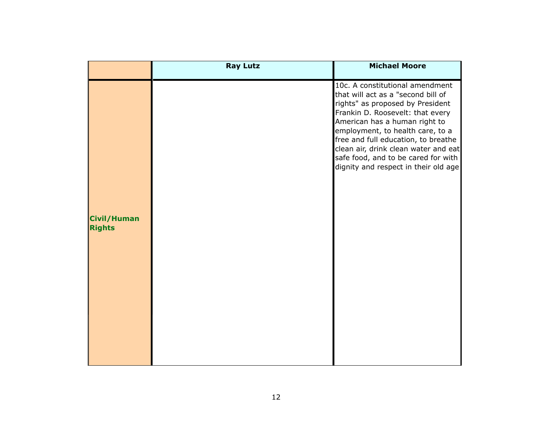|                                     | <b>Ray Lutz</b> | <b>Michael Moore</b>                                                                                                                                                                                                                                                                                                                                                             |
|-------------------------------------|-----------------|----------------------------------------------------------------------------------------------------------------------------------------------------------------------------------------------------------------------------------------------------------------------------------------------------------------------------------------------------------------------------------|
| <b>Civil/Human</b><br><b>Rights</b> |                 | 10c. A constitutional amendment<br>that will act as a "second bill of<br>rights" as proposed by President<br>Frankin D. Roosevelt: that every<br>American has a human right to<br>employment, to health care, to a<br>free and full education, to breathe<br>clean air, drink clean water and eat<br>safe food, and to be cared for with<br>dignity and respect in their old age |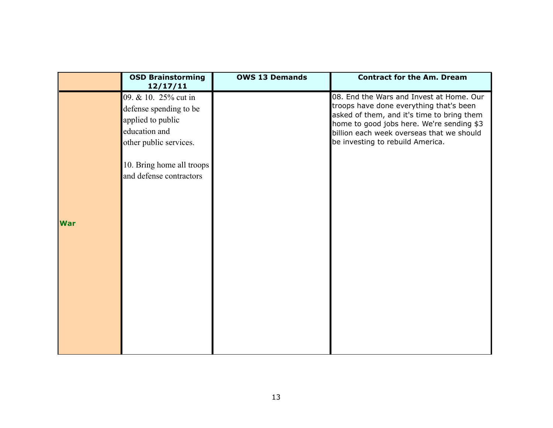|            | <b>OSD Brainstorming</b><br>12/17/11                                                                           | <b>OWS 13 Demands</b> | <b>Contract for the Am. Dream</b>                                                                                                                                                                                                                               |
|------------|----------------------------------------------------------------------------------------------------------------|-----------------------|-----------------------------------------------------------------------------------------------------------------------------------------------------------------------------------------------------------------------------------------------------------------|
|            | 09. & 10. 25% cut in<br>defense spending to be<br>applied to public<br>education and<br>other public services. |                       | 08. End the Wars and Invest at Home. Our<br>troops have done everything that's been<br>asked of them, and it's time to bring them<br>home to good jobs here. We're sending \$3<br>billion each week overseas that we should<br>be investing to rebuild America. |
| <b>War</b> | 10. Bring home all troops<br>and defense contractors                                                           |                       |                                                                                                                                                                                                                                                                 |
|            |                                                                                                                |                       |                                                                                                                                                                                                                                                                 |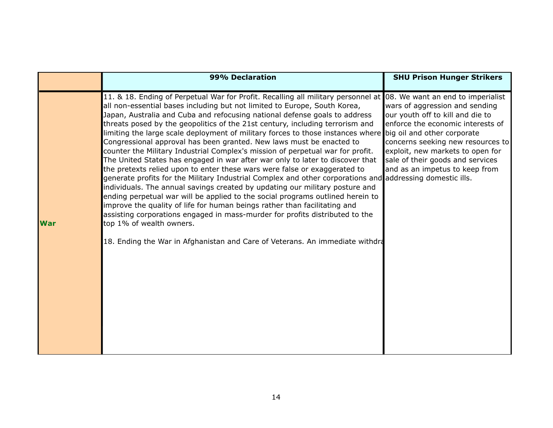|            | 99% Declaration                                                                                                                                                                                                                                                                                                                                                                                                                                                                                                                                                                                                                                                                                                                                                                                                                                                                                                                                                                                                                                                                                                                                                                                                                                                                                                                                                                                   | <b>SHU Prison Hunger Strikers</b>                                                                                                                                                                                  |
|------------|---------------------------------------------------------------------------------------------------------------------------------------------------------------------------------------------------------------------------------------------------------------------------------------------------------------------------------------------------------------------------------------------------------------------------------------------------------------------------------------------------------------------------------------------------------------------------------------------------------------------------------------------------------------------------------------------------------------------------------------------------------------------------------------------------------------------------------------------------------------------------------------------------------------------------------------------------------------------------------------------------------------------------------------------------------------------------------------------------------------------------------------------------------------------------------------------------------------------------------------------------------------------------------------------------------------------------------------------------------------------------------------------------|--------------------------------------------------------------------------------------------------------------------------------------------------------------------------------------------------------------------|
| <b>War</b> | 11. & 18. Ending of Perpetual War for Profit. Recalling all military personnel at 08. We want an end to imperialist<br>all non-essential bases including but not limited to Europe, South Korea,<br>Japan, Australia and Cuba and refocusing national defense goals to address<br>threats posed by the geopolitics of the 21st century, including terrorism and<br>limiting the large scale deployment of military forces to those instances where big oil and other corporate<br>Congressional approval has been granted. New laws must be enacted to<br>counter the Military Industrial Complex's mission of perpetual war for profit.<br>The United States has engaged in war after war only to later to discover that sale of their goods and services<br>the pretexts relied upon to enter these wars were false or exaggerated to<br>generate profits for the Military Industrial Complex and other corporations and addressing domestic ills.<br>individuals. The annual savings created by updating our military posture and<br>ending perpetual war will be applied to the social programs outlined herein to  <br>improve the quality of life for human beings rather than facilitating and<br>assisting corporations engaged in mass-murder for profits distributed to the<br>top 1% of wealth owners.<br>18. Ending the War in Afghanistan and Care of Veterans. An immediate withdra | wars of aggression and sending<br>our youth off to kill and die to<br>enforce the economic interests of<br>concerns seeking new resources to<br>exploit, new markets to open for<br>and as an impetus to keep from |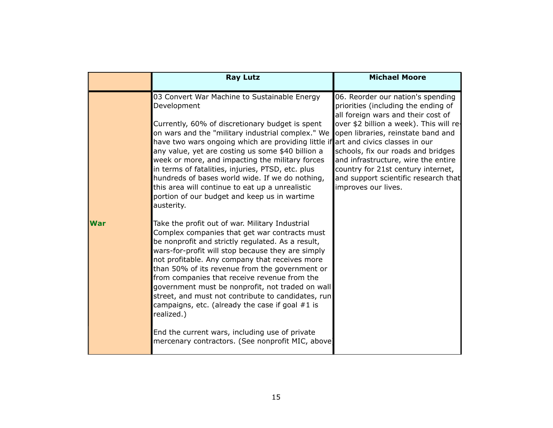|            | <b>Ray Lutz</b>                                                                                                                                                                                                                                                                                                                                                                                                                                                                                                                                                                                                                                    | <b>Michael Moore</b>                                                                                                                                                                                                                                                                                                                                                              |
|------------|----------------------------------------------------------------------------------------------------------------------------------------------------------------------------------------------------------------------------------------------------------------------------------------------------------------------------------------------------------------------------------------------------------------------------------------------------------------------------------------------------------------------------------------------------------------------------------------------------------------------------------------------------|-----------------------------------------------------------------------------------------------------------------------------------------------------------------------------------------------------------------------------------------------------------------------------------------------------------------------------------------------------------------------------------|
|            | 03 Convert War Machine to Sustainable Energy<br>Development<br>Currently, 60% of discretionary budget is spent<br>on wars and the "military industrial complex." We<br>have two wars ongoing which are providing little if art and civics classes in our<br>any value, yet are costing us some \$40 billion a<br>week or more, and impacting the military forces<br>in terms of fatalities, injuries, PTSD, etc. plus<br>hundreds of bases world wide. If we do nothing,<br>this area will continue to eat up a unrealistic<br>portion of our budget and keep us in wartime<br>austerity.                                                          | 06. Reorder our nation's spending<br>priorities (including the ending of<br>all foreign wars and their cost of<br>over \$2 billion a week). This will re-<br>open libraries, reinstate band and<br>schools, fix our roads and bridges<br>and infrastructure, wire the entire<br>country for 21st century internet,<br>and support scientific research that<br>improves our lives. |
| <b>War</b> | Take the profit out of war. Military Industrial<br>Complex companies that get war contracts must<br>be nonprofit and strictly regulated. As a result,<br>wars-for-profit will stop because they are simply<br>not profitable. Any company that receives more<br>than 50% of its revenue from the government or<br>from companies that receive revenue from the<br>government must be nonprofit, not traded on wall<br>street, and must not contribute to candidates, run<br>campaigns, etc. (already the case if goal $#1$ is<br>realized.)<br>End the current wars, including use of private<br>mercenary contractors. (See nonprofit MIC, above) |                                                                                                                                                                                                                                                                                                                                                                                   |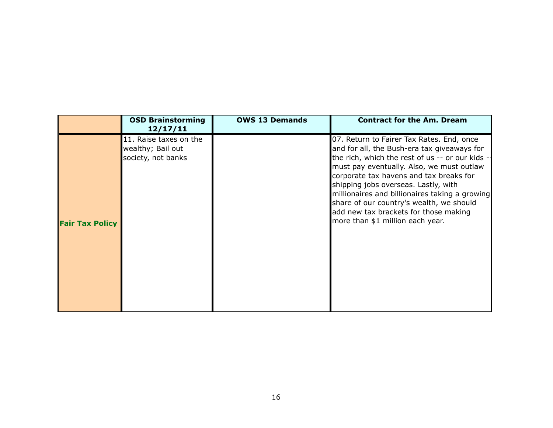|                        | <b>OSD Brainstorming</b><br>12/17/11                              | <b>OWS 13 Demands</b> | <b>Contract for the Am. Dream</b>                                                                                                                                                                                                                                                                                                                                                                                                                      |
|------------------------|-------------------------------------------------------------------|-----------------------|--------------------------------------------------------------------------------------------------------------------------------------------------------------------------------------------------------------------------------------------------------------------------------------------------------------------------------------------------------------------------------------------------------------------------------------------------------|
| <b>Fair Tax Policy</b> | 11. Raise taxes on the<br>wealthy; Bail out<br>society, not banks |                       | 07. Return to Fairer Tax Rates. End, once<br>and for all, the Bush-era tax giveaways for<br>the rich, which the rest of us -- or our kids -<br>must pay eventually. Also, we must outlaw<br>corporate tax havens and tax breaks for<br>shipping jobs overseas. Lastly, with<br>millionaires and billionaires taking a growing<br>share of our country's wealth, we should<br>add new tax brackets for those making<br>more than \$1 million each year. |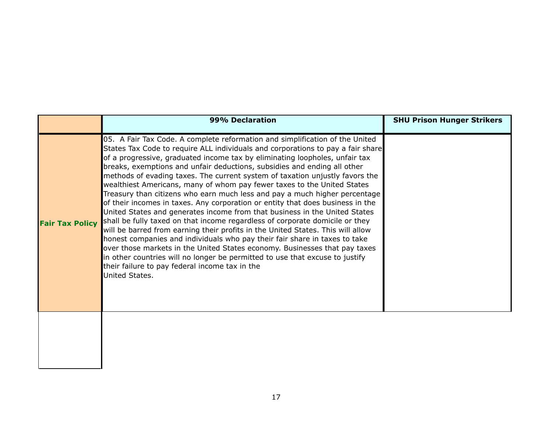|                        | 99% Declaration                                                                                                                                                                                                                                                                                                                                                                                                                                                                                                                                                                                                                                                                                                                                                                                                                                                                                                                                                                                                                                                                                                                                                                                                        | <b>SHU Prison Hunger Strikers</b> |
|------------------------|------------------------------------------------------------------------------------------------------------------------------------------------------------------------------------------------------------------------------------------------------------------------------------------------------------------------------------------------------------------------------------------------------------------------------------------------------------------------------------------------------------------------------------------------------------------------------------------------------------------------------------------------------------------------------------------------------------------------------------------------------------------------------------------------------------------------------------------------------------------------------------------------------------------------------------------------------------------------------------------------------------------------------------------------------------------------------------------------------------------------------------------------------------------------------------------------------------------------|-----------------------------------|
| <b>Fair Tax Policy</b> | 05. A Fair Tax Code. A complete reformation and simplification of the United<br>States Tax Code to require ALL individuals and corporations to pay a fair share<br>of a progressive, graduated income tax by eliminating loopholes, unfair tax<br>breaks, exemptions and unfair deductions, subsidies and ending all other<br>methods of evading taxes. The current system of taxation unjustly favors the<br>wealthiest Americans, many of whom pay fewer taxes to the United States<br>Treasury than citizens who earn much less and pay a much higher percentage<br>of their incomes in taxes. Any corporation or entity that does business in the<br>United States and generates income from that business in the United States<br>shall be fully taxed on that income regardless of corporate domicile or they<br>will be barred from earning their profits in the United States. This will allow<br>honest companies and individuals who pay their fair share in taxes to take<br>over those markets in the United States economy. Businesses that pay taxes<br>in other countries will no longer be permitted to use that excuse to justify<br>their failure to pay federal income tax in the<br>United States. |                                   |
|                        |                                                                                                                                                                                                                                                                                                                                                                                                                                                                                                                                                                                                                                                                                                                                                                                                                                                                                                                                                                                                                                                                                                                                                                                                                        |                                   |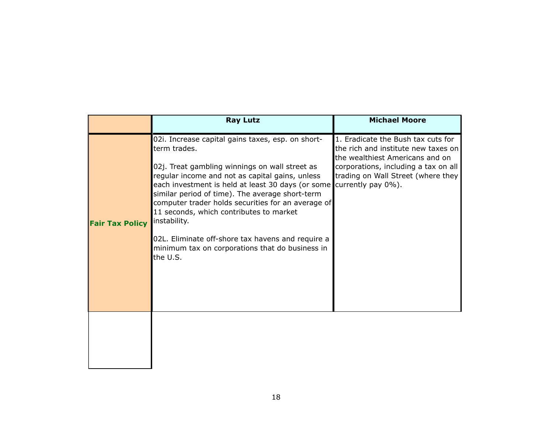|                        | <b>Ray Lutz</b>                                                                                                                                                                                                                                                                                                                                                                                                                                                                                                                        | <b>Michael Moore</b>                                                                                                                                                                       |
|------------------------|----------------------------------------------------------------------------------------------------------------------------------------------------------------------------------------------------------------------------------------------------------------------------------------------------------------------------------------------------------------------------------------------------------------------------------------------------------------------------------------------------------------------------------------|--------------------------------------------------------------------------------------------------------------------------------------------------------------------------------------------|
| <b>Fair Tax Policy</b> | 02i. Increase capital gains taxes, esp. on short-<br>term trades.<br>02j. Treat gambling winnings on wall street as<br>regular income and not as capital gains, unless<br>each investment is held at least 30 days (or some currently pay 0%).<br>similar period of time). The average short-term<br>computer trader holds securities for an average of<br>11 seconds, which contributes to market<br>instability.<br>02L. Eliminate off-shore tax havens and require a<br>minimum tax on corporations that do business in<br>the U.S. | 1. Eradicate the Bush tax cuts for<br>the rich and institute new taxes on<br>the wealthiest Americans and on<br>corporations, including a tax on all<br>trading on Wall Street (where they |
|                        |                                                                                                                                                                                                                                                                                                                                                                                                                                                                                                                                        |                                                                                                                                                                                            |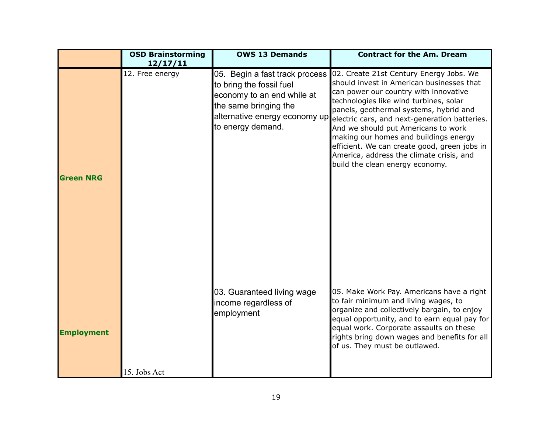|                   | <b>OSD Brainstorming</b><br>12/17/11 | <b>OWS 13 Demands</b>                                                                                                                 | <b>Contract for the Am. Dream</b>                                                                                                                                                                                                                                                                                                                                                                                                                                                                                |
|-------------------|--------------------------------------|---------------------------------------------------------------------------------------------------------------------------------------|------------------------------------------------------------------------------------------------------------------------------------------------------------------------------------------------------------------------------------------------------------------------------------------------------------------------------------------------------------------------------------------------------------------------------------------------------------------------------------------------------------------|
| <b>Green NRG</b>  | 12. Free energy                      | to bring the fossil fuel<br>economy to an end while at<br>the same bringing the<br>alternative energy economy up<br>to energy demand. | 05. Begin a fast track process 02. Create 21st Century Energy Jobs. We<br>should invest in American businesses that<br>can power our country with innovative<br>technologies like wind turbines, solar<br>panels, geothermal systems, hybrid and<br>electric cars, and next-generation batteries.<br>And we should put Americans to work<br>making our homes and buildings energy<br>efficient. We can create good, green jobs in<br>America, address the climate crisis, and<br>build the clean energy economy. |
| <b>Employment</b> | 15. Jobs Act                         | 03. Guaranteed living wage<br>income regardless of<br>employment                                                                      | 05. Make Work Pay. Americans have a right<br>to fair minimum and living wages, to<br>organize and collectively bargain, to enjoy<br>equal opportunity, and to earn equal pay for<br>equal work. Corporate assaults on these<br>rights bring down wages and benefits for all<br>of us. They must be outlawed.                                                                                                                                                                                                     |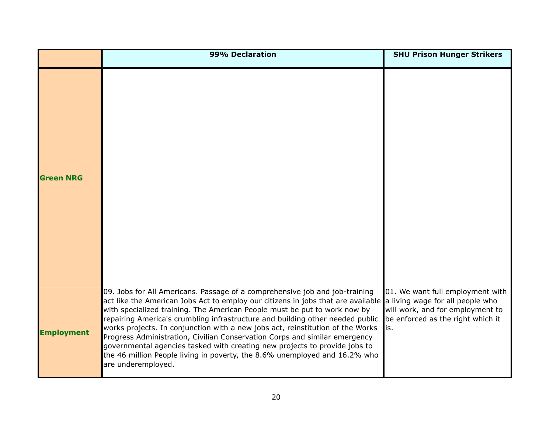|                   | 99% Declaration                                                                                                                                                                                                                                                                                                                                                                                                                                                                                                                                                                                                                                                                                                  | <b>SHU Prison Hunger Strikers</b>                                                                                |
|-------------------|------------------------------------------------------------------------------------------------------------------------------------------------------------------------------------------------------------------------------------------------------------------------------------------------------------------------------------------------------------------------------------------------------------------------------------------------------------------------------------------------------------------------------------------------------------------------------------------------------------------------------------------------------------------------------------------------------------------|------------------------------------------------------------------------------------------------------------------|
| <b>Green NRG</b>  |                                                                                                                                                                                                                                                                                                                                                                                                                                                                                                                                                                                                                                                                                                                  |                                                                                                                  |
| <b>Employment</b> | 09. Jobs for All Americans. Passage of a comprehensive job and job-training<br>act like the American Jobs Act to employ our citizens in jobs that are available a living wage for all people who<br>with specialized training. The American People must be put to work now by<br>repairing America's crumbling infrastructure and building other needed public<br>works projects. In conjunction with a new jobs act, reinstitution of the Works<br>Progress Administration, Civilian Conservation Corps and similar emergency<br>governmental agencies tasked with creating new projects to provide jobs to<br>the 46 million People living in poverty, the 8.6% unemployed and 16.2% who<br>are underemployed. | 01. We want full employment with<br>will work, and for employment to<br>be enforced as the right which it<br>is. |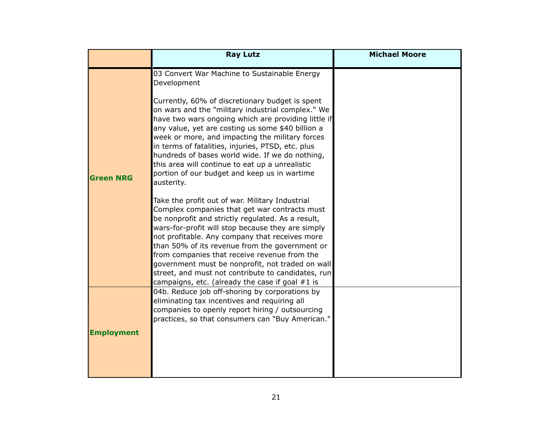|                   | <b>Ray Lutz</b>                                                                                                                                                                                                                                                                                                                                                                                                                                                                                                               | <b>Michael Moore</b> |
|-------------------|-------------------------------------------------------------------------------------------------------------------------------------------------------------------------------------------------------------------------------------------------------------------------------------------------------------------------------------------------------------------------------------------------------------------------------------------------------------------------------------------------------------------------------|----------------------|
|                   | 03 Convert War Machine to Sustainable Energy<br>Development                                                                                                                                                                                                                                                                                                                                                                                                                                                                   |                      |
| <b>Green NRG</b>  | Currently, 60% of discretionary budget is spent<br>on wars and the "military industrial complex." We<br>have two wars ongoing which are providing little if<br>any value, yet are costing us some \$40 billion a<br>week or more, and impacting the military forces<br>in terms of fatalities, injuries, PTSD, etc. plus<br>hundreds of bases world wide. If we do nothing,<br>this area will continue to eat up a unrealistic<br>portion of our budget and keep us in wartime<br>austerity.                                  |                      |
|                   | Take the profit out of war. Military Industrial<br>Complex companies that get war contracts must<br>be nonprofit and strictly regulated. As a result,<br>wars-for-profit will stop because they are simply<br>not profitable. Any company that receives more<br>than 50% of its revenue from the government or<br>from companies that receive revenue from the<br>government must be nonprofit, not traded on wall<br>street, and must not contribute to candidates, run<br>campaigns, etc. (already the case if goal $#1$ is |                      |
|                   | 04b. Reduce job off-shoring by corporations by<br>eliminating tax incentives and requiring all<br>companies to openly report hiring / outsourcing<br>practices, so that consumers can "Buy American."                                                                                                                                                                                                                                                                                                                         |                      |
| <b>Employment</b> |                                                                                                                                                                                                                                                                                                                                                                                                                                                                                                                               |                      |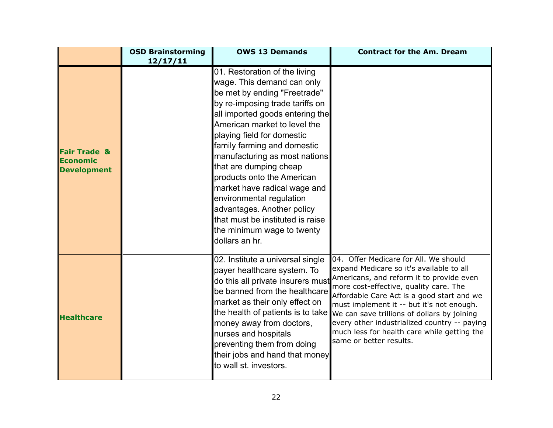|                                                           | <b>OSD Brainstorming</b><br>12/17/11 | <b>OWS 13 Demands</b>                                                                                                                                                                                                                                                                                                                                                                                                                                                                                                                 | <b>Contract for the Am. Dream</b>                                                                                                                                                                                                                                                                                                                                                                                                                                             |
|-----------------------------------------------------------|--------------------------------------|---------------------------------------------------------------------------------------------------------------------------------------------------------------------------------------------------------------------------------------------------------------------------------------------------------------------------------------------------------------------------------------------------------------------------------------------------------------------------------------------------------------------------------------|-------------------------------------------------------------------------------------------------------------------------------------------------------------------------------------------------------------------------------------------------------------------------------------------------------------------------------------------------------------------------------------------------------------------------------------------------------------------------------|
| <b>Fair Trade &amp;</b><br>Economic<br><b>Development</b> |                                      | 01. Restoration of the living<br>wage. This demand can only<br>be met by ending "Freetrade"<br>by re-imposing trade tariffs on<br>all imported goods entering the<br>American market to level the<br>playing field for domestic<br>family farming and domestic<br>manufacturing as most nations<br>that are dumping cheap<br>products onto the American<br>market have radical wage and<br>environmental regulation<br>advantages. Another policy<br>that must be instituted is raise<br>the minimum wage to twenty<br>dollars an hr. |                                                                                                                                                                                                                                                                                                                                                                                                                                                                               |
| <b>Healthcare</b>                                         |                                      | 02. Institute a universal single<br>payer healthcare system. To<br>do this all private insurers must<br>be banned from the healthcare<br>market as their only effect on<br>money away from doctors,<br>nurses and hospitals<br>preventing them from doing<br>their jobs and hand that money<br>to wall st. investors.                                                                                                                                                                                                                 | 04. Offer Medicare for All. We should<br>expand Medicare so it's available to all<br>Americans, and reform it to provide even<br>more cost-effective, quality care. The<br>Affordable Care Act is a good start and we<br>must implement it -- but it's not enough.<br>the health of patients is to take we can save trillions of dollars by joining<br>every other industrialized country -- paying<br>much less for health care while getting the<br>same or better results. |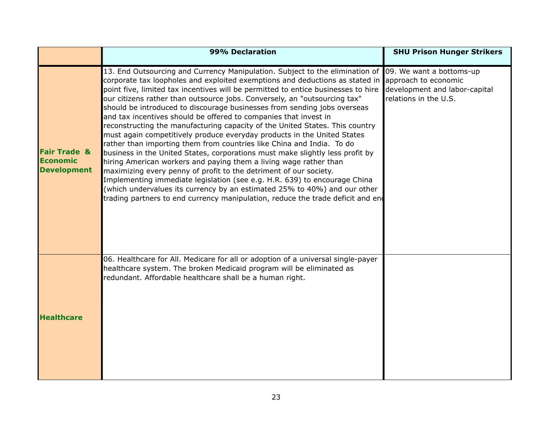|                                                                  | 99% Declaration                                                                                                                                                                                                                                                                                                                                                                                                                                                                                                                                                                                                                                                                                                                                                                                                                                                                                                                                                                                                                                                                                                                                                                                                                          | <b>SHU Prison Hunger Strikers</b>                      |
|------------------------------------------------------------------|------------------------------------------------------------------------------------------------------------------------------------------------------------------------------------------------------------------------------------------------------------------------------------------------------------------------------------------------------------------------------------------------------------------------------------------------------------------------------------------------------------------------------------------------------------------------------------------------------------------------------------------------------------------------------------------------------------------------------------------------------------------------------------------------------------------------------------------------------------------------------------------------------------------------------------------------------------------------------------------------------------------------------------------------------------------------------------------------------------------------------------------------------------------------------------------------------------------------------------------|--------------------------------------------------------|
| <b>Fair Trade &amp;</b><br><b>Economic</b><br><b>Development</b> | 13. End Outsourcing and Currency Manipulation. Subject to the elimination of 09. We want a bottoms-up<br>corporate tax loopholes and exploited exemptions and deductions as stated in approach to economic<br>point five, limited tax incentives will be permitted to entice businesses to hire<br>our citizens rather than outsource jobs. Conversely, an "outsourcing tax"<br>should be introduced to discourage businesses from sending jobs overseas<br>and tax incentives should be offered to companies that invest in<br>reconstructing the manufacturing capacity of the United States. This country<br>must again competitively produce everyday products in the United States<br>rather than importing them from countries like China and India. To do<br>business in the United States, corporations must make slightly less profit by<br>hiring American workers and paying them a living wage rather than<br>maximizing every penny of profit to the detriment of our society.<br>Implementing immediate legislation (see e.g. H.R. 639) to encourage China<br>(which undervalues its currency by an estimated 25% to 40%) and our other<br>trading partners to end currency manipulation, reduce the trade deficit and end | development and labor-capital<br>relations in the U.S. |
| <b>Healthcare</b>                                                | 06. Healthcare for All. Medicare for all or adoption of a universal single-payer<br>healthcare system. The broken Medicaid program will be eliminated as<br>redundant. Affordable healthcare shall be a human right.                                                                                                                                                                                                                                                                                                                                                                                                                                                                                                                                                                                                                                                                                                                                                                                                                                                                                                                                                                                                                     |                                                        |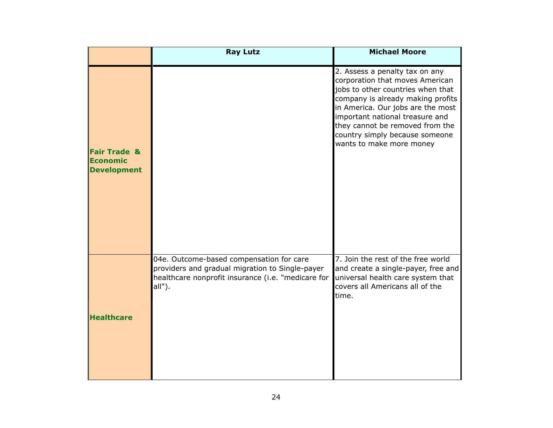|                                                            | <b>Ray Lutz</b>                                                                                                                                                | <b>Michael Moore</b>                                                                                                                                                                                                                                                                                                 |
|------------------------------------------------------------|----------------------------------------------------------------------------------------------------------------------------------------------------------------|----------------------------------------------------------------------------------------------------------------------------------------------------------------------------------------------------------------------------------------------------------------------------------------------------------------------|
| <b>Fair Trade &amp;</b><br>lEconomic<br><b>Development</b> |                                                                                                                                                                | 2. Assess a penalty tax on any<br>corporation that moves American<br>jobs to other countries when that<br>company is already making profits<br>in America. Our jobs are the most<br>important national treasure and<br>they cannot be removed from the<br>country simply because someone<br>wants to make more money |
| <b>Healthcare</b>                                          | 04e. Outcome-based compensation for care<br>providers and gradual migration to Single-payer<br>healthcare nonprofit insurance (i.e. "medicare for<br>$all")$ . | 7. Join the rest of the free world<br>and create a single-payer, free and<br>universal health care system that<br>covers all Americans all of the<br>time.                                                                                                                                                           |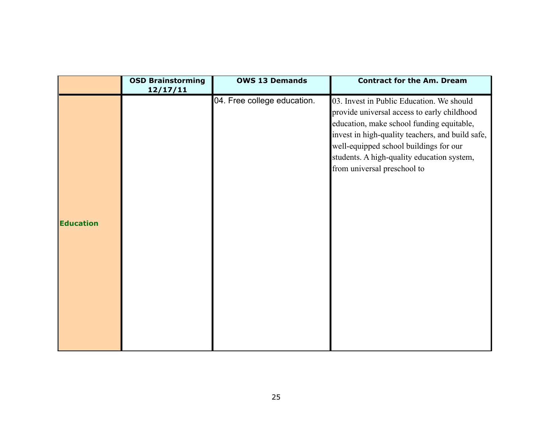|                  | <b>OSD Brainstorming</b><br>12/17/11 | <b>OWS 13 Demands</b>       | <b>Contract for the Am. Dream</b>                                                                                                                                                                                                                                                                                |
|------------------|--------------------------------------|-----------------------------|------------------------------------------------------------------------------------------------------------------------------------------------------------------------------------------------------------------------------------------------------------------------------------------------------------------|
| <b>Education</b> |                                      | 04. Free college education. | 03. Invest in Public Education. We should<br>provide universal access to early childhood<br>education, make school funding equitable,<br>invest in high-quality teachers, and build safe,<br>well-equipped school buildings for our<br>students. A high-quality education system,<br>from universal preschool to |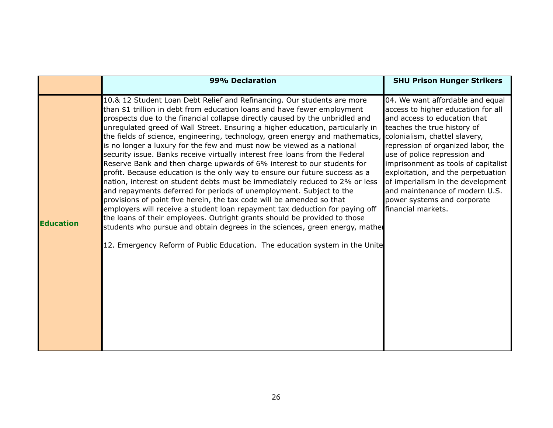| 99% Declaration                                                                                                                                                                                                                                                                                                                                                                                                                                                                                                                                                                                                                                                                                                                                                                                                                                                                                                                                                                                                                                                                                                                                                                                                                                                                                                                                 | <b>SHU Prison Hunger Strikers</b>                                                                                                                                                                                                                                                                                                                                                     |
|-------------------------------------------------------------------------------------------------------------------------------------------------------------------------------------------------------------------------------------------------------------------------------------------------------------------------------------------------------------------------------------------------------------------------------------------------------------------------------------------------------------------------------------------------------------------------------------------------------------------------------------------------------------------------------------------------------------------------------------------------------------------------------------------------------------------------------------------------------------------------------------------------------------------------------------------------------------------------------------------------------------------------------------------------------------------------------------------------------------------------------------------------------------------------------------------------------------------------------------------------------------------------------------------------------------------------------------------------|---------------------------------------------------------------------------------------------------------------------------------------------------------------------------------------------------------------------------------------------------------------------------------------------------------------------------------------------------------------------------------------|
| 10.& 12 Student Loan Debt Relief and Refinancing. Our students are more<br>than \$1 trillion in debt from education loans and have fewer employment<br>prospects due to the financial collapse directly caused by the unbridled and<br>unregulated greed of Wall Street. Ensuring a higher education, particularly in teaches the true history of<br>the fields of science, engineering, technology, green energy and mathematics, colonialism, chattel slavery,<br>is no longer a luxury for the few and must now be viewed as a national<br>security issue. Banks receive virtually interest free loans from the Federal<br>Reserve Bank and then charge upwards of 6% interest to our students for<br>profit. Because education is the only way to ensure our future success as a<br>nation, interest on student debts must be immediately reduced to 2% or less<br>and repayments deferred for periods of unemployment. Subject to the<br>provisions of point five herein, the tax code will be amended so that<br>employers will receive a student loan repayment tax deduction for paying off<br>the loans of their employees. Outright grants should be provided to those<br>students who pursue and obtain degrees in the sciences, green energy, mather<br>12. Emergency Reform of Public Education. The education system in the Unite | 04. We want affordable and equal<br>access to higher education for all<br>and access to education that<br>repression of organized labor, the<br>use of police repression and<br>imprisonment as tools of capitalist<br>exploitation, and the perpetuation<br>of imperialism in the development<br>and maintenance of modern U.S.<br>power systems and corporate<br>financial markets. |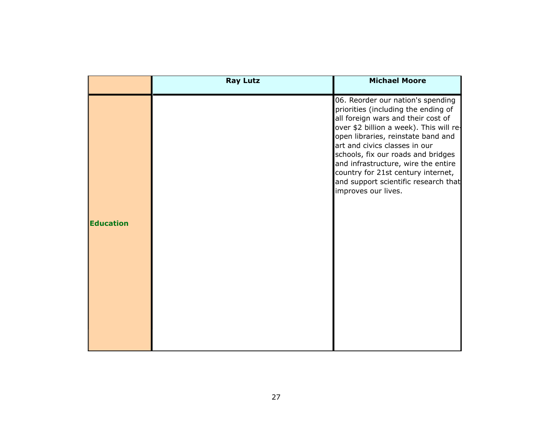|                  | <b>Ray Lutz</b> | <b>Michael Moore</b>                                                                                                                                                                                                                                                                                                                                                                                               |
|------------------|-----------------|--------------------------------------------------------------------------------------------------------------------------------------------------------------------------------------------------------------------------------------------------------------------------------------------------------------------------------------------------------------------------------------------------------------------|
| <b>Education</b> |                 | 06. Reorder our nation's spending<br>priorities (including the ending of<br>all foreign wars and their cost of<br>over \$2 billion a week). This will re-<br>open libraries, reinstate band and<br>art and civics classes in our<br>schools, fix our roads and bridges<br>and infrastructure, wire the entire<br>country for 21st century internet,<br>and support scientific research that<br>improves our lives. |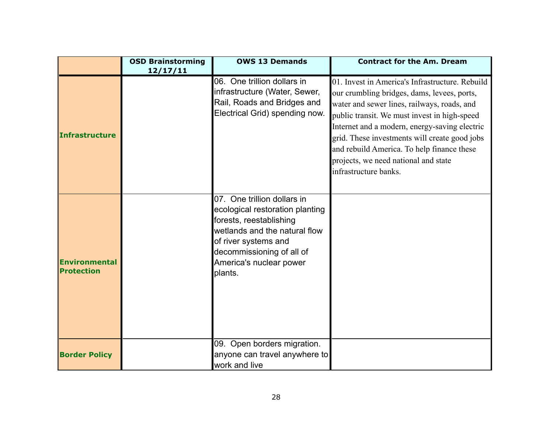|                                           | <b>OSD Brainstorming</b><br>12/17/11 | <b>OWS 13 Demands</b>                                                                                                                                                                                                 | <b>Contract for the Am. Dream</b>                                                                                                                                                                                                                                                                                                                                                                              |
|-------------------------------------------|--------------------------------------|-----------------------------------------------------------------------------------------------------------------------------------------------------------------------------------------------------------------------|----------------------------------------------------------------------------------------------------------------------------------------------------------------------------------------------------------------------------------------------------------------------------------------------------------------------------------------------------------------------------------------------------------------|
| <b>Infrastructure</b>                     |                                      | 06. One trillion dollars in<br>infrastructure (Water, Sewer,<br>Rail, Roads and Bridges and<br>Electrical Grid) spending now.                                                                                         | 01. Invest in America's Infrastructure. Rebuild<br>our crumbling bridges, dams, levees, ports,<br>water and sewer lines, railways, roads, and<br>public transit. We must invest in high-speed<br>Internet and a modern, energy-saving electric<br>grid. These investments will create good jobs<br>and rebuild America. To help finance these<br>projects, we need national and state<br>infrastructure banks. |
| <b>Environmental</b><br><b>Protection</b> |                                      | 07. One trillion dollars in<br>ecological restoration planting<br>forests, reestablishing<br>wetlands and the natural flow<br>of river systems and<br>decommissioning of all of<br>America's nuclear power<br>plants. |                                                                                                                                                                                                                                                                                                                                                                                                                |
| <b>Border Policy</b>                      |                                      | 09. Open borders migration.<br>anyone can travel anywhere to<br>work and live                                                                                                                                         |                                                                                                                                                                                                                                                                                                                                                                                                                |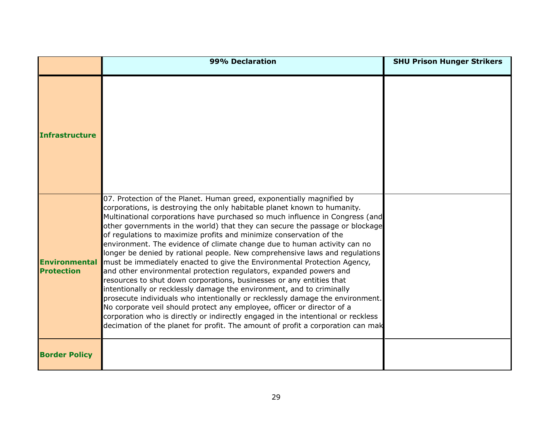|                                           | 99% Declaration                                                                                                                                                                                                                                                                                                                                                                                                                                                                                                                                                                                                                                                                                                                                                                                                                                                                                                                                                                                                                                                                                                                                                                           | <b>SHU Prison Hunger Strikers</b> |
|-------------------------------------------|-------------------------------------------------------------------------------------------------------------------------------------------------------------------------------------------------------------------------------------------------------------------------------------------------------------------------------------------------------------------------------------------------------------------------------------------------------------------------------------------------------------------------------------------------------------------------------------------------------------------------------------------------------------------------------------------------------------------------------------------------------------------------------------------------------------------------------------------------------------------------------------------------------------------------------------------------------------------------------------------------------------------------------------------------------------------------------------------------------------------------------------------------------------------------------------------|-----------------------------------|
| <b>Infrastructure</b>                     |                                                                                                                                                                                                                                                                                                                                                                                                                                                                                                                                                                                                                                                                                                                                                                                                                                                                                                                                                                                                                                                                                                                                                                                           |                                   |
| <b>Environmental</b><br><b>Protection</b> | 07. Protection of the Planet. Human greed, exponentially magnified by<br>corporations, is destroying the only habitable planet known to humanity.<br>Multinational corporations have purchased so much influence in Congress (and<br>other governments in the world) that they can secure the passage or blockage<br>of regulations to maximize profits and minimize conservation of the<br>environment. The evidence of climate change due to human activity can no<br>longer be denied by rational people. New comprehensive laws and regulations<br>must be immediately enacted to give the Environmental Protection Agency,<br>and other environmental protection regulators, expanded powers and<br>resources to shut down corporations, businesses or any entities that<br>intentionally or recklessly damage the environment, and to criminally<br>prosecute individuals who intentionally or recklessly damage the environment.<br>No corporate veil should protect any employee, officer or director of a<br>corporation who is directly or indirectly engaged in the intentional or reckless<br>decimation of the planet for profit. The amount of profit a corporation can mak |                                   |
| <b>Border Policy</b>                      |                                                                                                                                                                                                                                                                                                                                                                                                                                                                                                                                                                                                                                                                                                                                                                                                                                                                                                                                                                                                                                                                                                                                                                                           |                                   |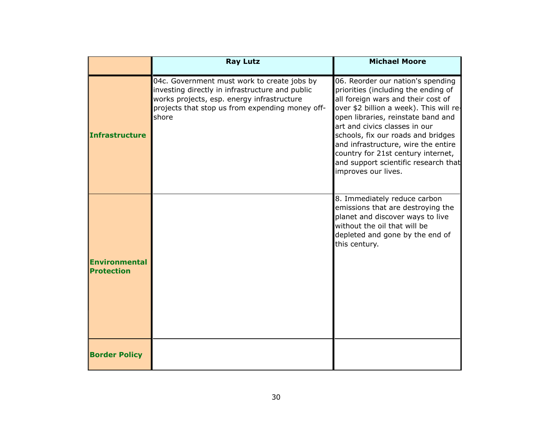|                                           | <b>Ray Lutz</b>                                                                                                                                                                                          | <b>Michael Moore</b>                                                                                                                                                                                                                                                                                                                                                                                               |
|-------------------------------------------|----------------------------------------------------------------------------------------------------------------------------------------------------------------------------------------------------------|--------------------------------------------------------------------------------------------------------------------------------------------------------------------------------------------------------------------------------------------------------------------------------------------------------------------------------------------------------------------------------------------------------------------|
| <b>Infrastructure</b>                     | 04c. Government must work to create jobs by<br>investing directly in infrastructure and public<br>works projects, esp. energy infrastructure<br>projects that stop us from expending money off-<br>shore | 06. Reorder our nation's spending<br>priorities (including the ending of<br>all foreign wars and their cost of<br>over \$2 billion a week). This will re-<br>open libraries, reinstate band and<br>art and civics classes in our<br>schools, fix our roads and bridges<br>and infrastructure, wire the entire<br>country for 21st century internet,<br>and support scientific research that<br>improves our lives. |
| <b>Environmental</b><br><b>Protection</b> |                                                                                                                                                                                                          | 8. Immediately reduce carbon<br>emissions that are destroying the<br>planet and discover ways to live<br>without the oil that will be<br>depleted and gone by the end of<br>this century.                                                                                                                                                                                                                          |
| <b>Border Policy</b>                      |                                                                                                                                                                                                          |                                                                                                                                                                                                                                                                                                                                                                                                                    |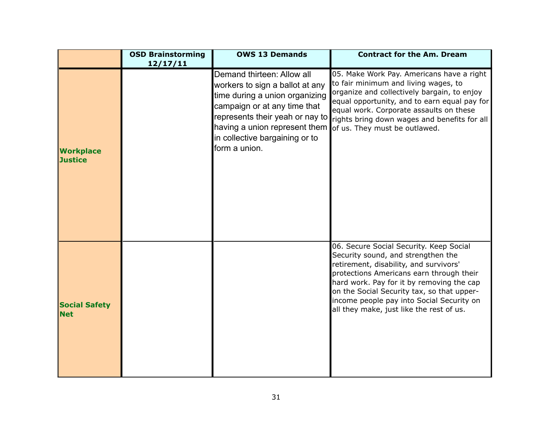|                                    | <b>OSD Brainstorming</b><br>12/17/11 | <b>OWS 13 Demands</b>                                                                                                                                                                                                                                  | <b>Contract for the Am. Dream</b>                                                                                                                                                                                                                                                                                                                       |
|------------------------------------|--------------------------------------|--------------------------------------------------------------------------------------------------------------------------------------------------------------------------------------------------------------------------------------------------------|---------------------------------------------------------------------------------------------------------------------------------------------------------------------------------------------------------------------------------------------------------------------------------------------------------------------------------------------------------|
| <b>Workplace</b><br><b>Justice</b> |                                      | Demand thirteen: Allow all<br>workers to sign a ballot at any<br>time during a union organizing<br>campaign or at any time that<br>represents their yeah or nay to<br>having a union represent them<br>in collective bargaining or to<br>form a union. | 05. Make Work Pay. Americans have a right<br>to fair minimum and living wages, to<br>organize and collectively bargain, to enjoy<br>equal opportunity, and to earn equal pay for<br>equal work. Corporate assaults on these<br>rights bring down wages and benefits for all<br>of us. They must be outlawed.                                            |
| <b>Social Safety</b><br><b>Net</b> |                                      |                                                                                                                                                                                                                                                        | 06. Secure Social Security. Keep Social<br>Security sound, and strengthen the<br>retirement, disability, and survivors'<br>protections Americans earn through their<br>hard work. Pay for it by removing the cap<br>on the Social Security tax, so that upper-<br>income people pay into Social Security on<br>all they make, just like the rest of us. |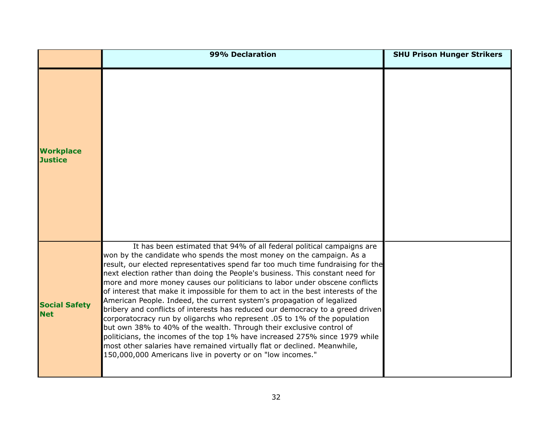|                                    | 99% Declaration                                                                                                                                                                                                                                                                                                                                                                                                                                                                                                                                                                                                                                                                                                                                                                                                                                                                                                                                                                                                                | <b>SHU Prison Hunger Strikers</b> |
|------------------------------------|--------------------------------------------------------------------------------------------------------------------------------------------------------------------------------------------------------------------------------------------------------------------------------------------------------------------------------------------------------------------------------------------------------------------------------------------------------------------------------------------------------------------------------------------------------------------------------------------------------------------------------------------------------------------------------------------------------------------------------------------------------------------------------------------------------------------------------------------------------------------------------------------------------------------------------------------------------------------------------------------------------------------------------|-----------------------------------|
| <b>Workplace</b><br><b>Justice</b> |                                                                                                                                                                                                                                                                                                                                                                                                                                                                                                                                                                                                                                                                                                                                                                                                                                                                                                                                                                                                                                |                                   |
| <b>Social Safety</b><br><b>Net</b> | It has been estimated that 94% of all federal political campaigns are<br>won by the candidate who spends the most money on the campaign. As a<br>result, our elected representatives spend far too much time fundraising for the<br>next election rather than doing the People's business. This constant need for<br>more and more money causes our politicians to labor under obscene conflicts<br>of interest that make it impossible for them to act in the best interests of the<br>American People. Indeed, the current system's propagation of legalized<br>bribery and conflicts of interests has reduced our democracy to a greed driven<br>corporatocracy run by oligarchs who represent .05 to 1% of the population<br>but own 38% to 40% of the wealth. Through their exclusive control of<br>politicians, the incomes of the top 1% have increased 275% since 1979 while<br>most other salaries have remained virtually flat or declined. Meanwhile,<br>150,000,000 Americans live in poverty or on "low incomes." |                                   |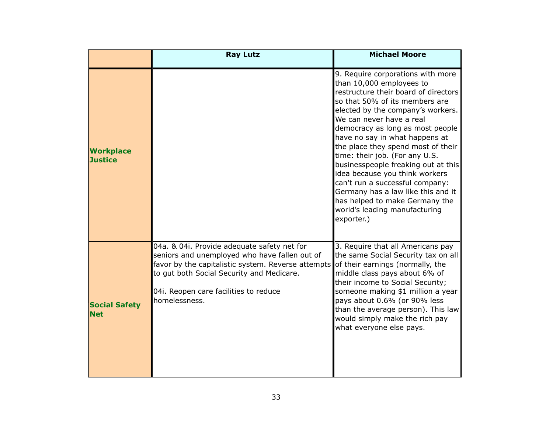|                                    | <b>Ray Lutz</b>                                                                                                                                                                                                                                           | <b>Michael Moore</b>                                                                                                                                                                                                                                                                                                                                                                                                                                                                                                                                                                      |
|------------------------------------|-----------------------------------------------------------------------------------------------------------------------------------------------------------------------------------------------------------------------------------------------------------|-------------------------------------------------------------------------------------------------------------------------------------------------------------------------------------------------------------------------------------------------------------------------------------------------------------------------------------------------------------------------------------------------------------------------------------------------------------------------------------------------------------------------------------------------------------------------------------------|
| <b>Workplace</b><br><b>Justice</b> |                                                                                                                                                                                                                                                           | 9. Require corporations with more<br>than 10,000 employees to<br>restructure their board of directors<br>so that 50% of its members are<br>elected by the company's workers.<br>We can never have a real<br>democracy as long as most people<br>have no say in what happens at<br>the place they spend most of their<br>time: their job. (For any U.S.<br>businesspeople freaking out at this<br>idea because you think workers<br>can't run a successful company:<br>Germany has a law like this and it<br>has helped to make Germany the<br>world's leading manufacturing<br>exporter.) |
| <b>Social Safety</b><br><b>Net</b> | 04a. & 04i. Provide adequate safety net for<br>seniors and unemployed who have fallen out of<br>favor by the capitalistic system. Reverse attempts<br>to gut both Social Security and Medicare.<br>04i. Reopen care facilities to reduce<br>homelessness. | 3. Require that all Americans pay<br>the same Social Security tax on all<br>of their earnings (normally, the<br>middle class pays about 6% of<br>their income to Social Security;<br>someone making \$1 million a year<br>pays about 0.6% (or 90% less<br>than the average person). This law<br>would simply make the rich pay<br>what everyone else pays.                                                                                                                                                                                                                                |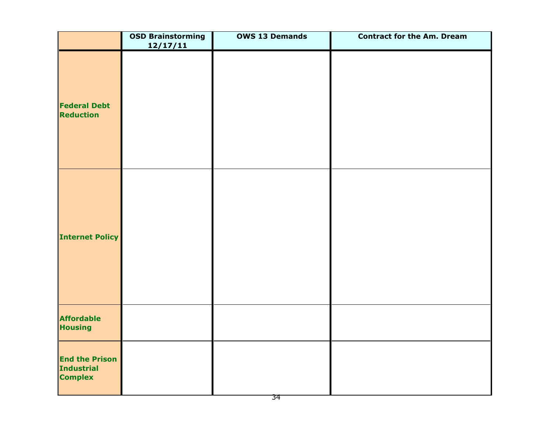|                                                       | <b>OSD Brainstorming</b><br>12/17/11 | <b>OWS 13 Demands</b> | <b>Contract for the Am. Dream</b> |
|-------------------------------------------------------|--------------------------------------|-----------------------|-----------------------------------|
| <b>Federal Debt</b><br><b>Reduction</b>               |                                      |                       |                                   |
| <b>Internet Policy</b>                                |                                      |                       |                                   |
| <b>Affordable</b><br><b>Housing</b>                   |                                      |                       |                                   |
| <b>End the Prison</b><br>Industrial<br><b>Complex</b> |                                      |                       |                                   |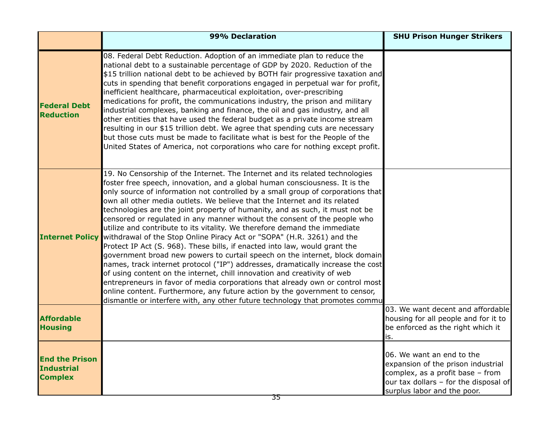|                                                              | 99% Declaration                                                                                                                                                                                                                                                                                                                                                                                                                                                                                                                                                                                                                                                                                                                                                                                                                                                                                                                                                                                                                                                                                                                                                                                                                                    | <b>SHU Prison Hunger Strikers</b>                                                                                                                                           |
|--------------------------------------------------------------|----------------------------------------------------------------------------------------------------------------------------------------------------------------------------------------------------------------------------------------------------------------------------------------------------------------------------------------------------------------------------------------------------------------------------------------------------------------------------------------------------------------------------------------------------------------------------------------------------------------------------------------------------------------------------------------------------------------------------------------------------------------------------------------------------------------------------------------------------------------------------------------------------------------------------------------------------------------------------------------------------------------------------------------------------------------------------------------------------------------------------------------------------------------------------------------------------------------------------------------------------|-----------------------------------------------------------------------------------------------------------------------------------------------------------------------------|
| <b>Federal Debt</b><br><b>Reduction</b>                      | 08. Federal Debt Reduction. Adoption of an immediate plan to reduce the<br>national debt to a sustainable percentage of GDP by 2020. Reduction of the<br>\$15 trillion national debt to be achieved by BOTH fair progressive taxation and<br>cuts in spending that benefit corporations engaged in perpetual war for profit,<br>inefficient healthcare, pharmaceutical exploitation, over-prescribing<br>medications for profit, the communications industry, the prison and military<br>industrial complexes, banking and finance, the oil and gas industry, and all<br>other entities that have used the federal budget as a private income stream<br>resulting in our \$15 trillion debt. We agree that spending cuts are necessary<br>but those cuts must be made to facilitate what is best for the People of the<br>United States of America, not corporations who care for nothing except profit.                                                                                                                                                                                                                                                                                                                                           |                                                                                                                                                                             |
|                                                              | 19. No Censorship of the Internet. The Internet and its related technologies<br>foster free speech, innovation, and a global human consciousness. It is the<br>only source of information not controlled by a small group of corporations that<br>own all other media outlets. We believe that the Internet and its related<br>technologies are the joint property of humanity, and as such, it must not be<br>censored or regulated in any manner without the consent of the people who<br>utilize and contribute to its vitality. We therefore demand the immediate<br><b>Internet Policy</b> withdrawal of the Stop Online Piracy Act or "SOPA" (H.R. 3261) and the<br>Protect IP Act (S. 968). These bills, if enacted into law, would grant the<br>government broad new powers to curtail speech on the internet, block domain<br>names, track internet protocol ("IP") addresses, dramatically increase the cost<br>of using content on the internet, chill innovation and creativity of web<br>entrepreneurs in favor of media corporations that already own or control most<br>online content. Furthermore, any future action by the government to censor,<br>dismantle or interfere with, any other future technology that promotes commu |                                                                                                                                                                             |
| <b>Affordable</b><br><b>Housing</b>                          |                                                                                                                                                                                                                                                                                                                                                                                                                                                                                                                                                                                                                                                                                                                                                                                                                                                                                                                                                                                                                                                                                                                                                                                                                                                    | 03. We want decent and affordable<br>housing for all people and for it to<br>be enforced as the right which it                                                              |
| <b>End the Prison</b><br><b>Industrial</b><br><b>Complex</b> | 35.                                                                                                                                                                                                                                                                                                                                                                                                                                                                                                                                                                                                                                                                                                                                                                                                                                                                                                                                                                                                                                                                                                                                                                                                                                                | 06. We want an end to the<br>expansion of the prison industrial<br>complex, as a profit base - from<br>our tax dollars - for the disposal of<br>surplus labor and the poor. |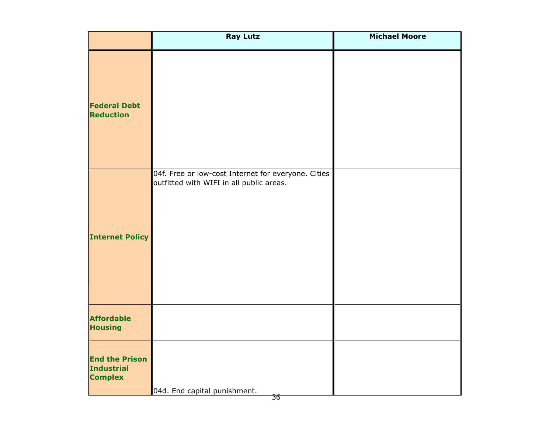|                                                              | <b>Ray Lutz</b>                                                                                 | <b>Michael Moore</b> |
|--------------------------------------------------------------|-------------------------------------------------------------------------------------------------|----------------------|
| <b>Federal Debt</b><br><b>Reduction</b>                      |                                                                                                 |                      |
| <b>Internet Policy</b>                                       | 04f. Free or low-cost Internet for everyone. Cities<br>outfitted with WIFI in all public areas. |                      |
| <b>Affordable</b><br><b>Housing</b>                          |                                                                                                 |                      |
| <b>End the Prison</b><br><b>Industrial</b><br><b>Complex</b> | 04d. End capital punishment.<br>36                                                              |                      |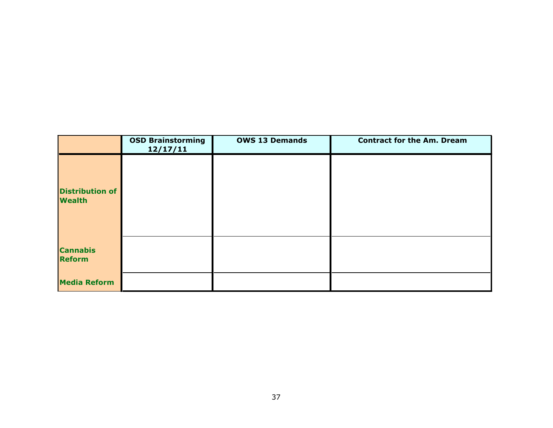|                                         | <b>OSD Brainstorming</b><br>12/17/11 | <b>OWS 13 Demands</b> | <b>Contract for the Am. Dream</b> |
|-----------------------------------------|--------------------------------------|-----------------------|-----------------------------------|
| <b>Distribution of</b><br><b>Wealth</b> |                                      |                       |                                   |
| <b>Cannabis</b><br><b>Reform</b>        |                                      |                       |                                   |
| <b>Media Reform</b>                     |                                      |                       |                                   |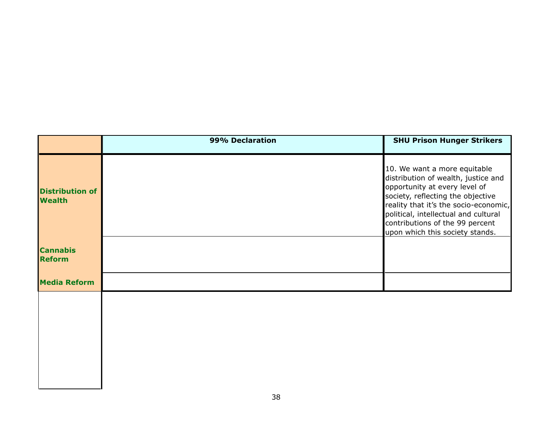|                                         | 99% Declaration | <b>SHU Prison Hunger Strikers</b>                                                                                                                                                                                                                                                                |
|-----------------------------------------|-----------------|--------------------------------------------------------------------------------------------------------------------------------------------------------------------------------------------------------------------------------------------------------------------------------------------------|
| <b>Distribution of</b><br><b>Wealth</b> |                 | 10. We want a more equitable<br>distribution of wealth, justice and<br>opportunity at every level of<br>society, reflecting the objective<br>reality that it's the socio-economic,<br>political, intellectual and cultural<br>contributions of the 99 percent<br>upon which this society stands. |
| <b>Cannabis</b><br><b>Reform</b>        |                 |                                                                                                                                                                                                                                                                                                  |
| <b>Media Reform</b>                     |                 |                                                                                                                                                                                                                                                                                                  |
|                                         |                 |                                                                                                                                                                                                                                                                                                  |